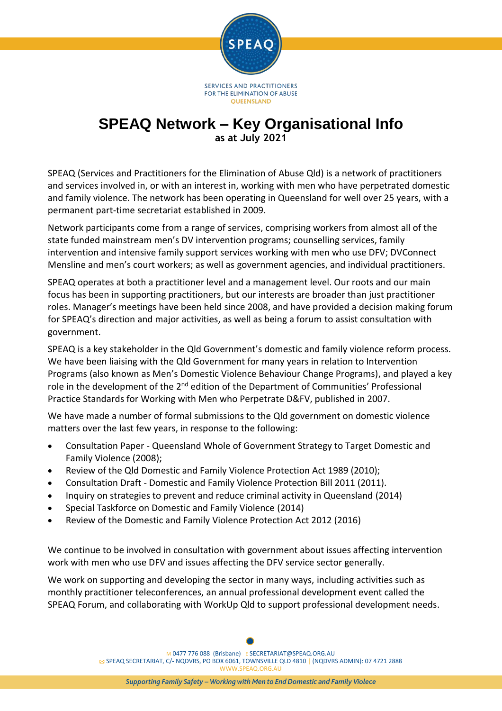

# **SPEAQ Network – Key Organisational Info as at July 2021**

SPEAQ (Services and Practitioners for the Elimination of Abuse Qld) is a network of practitioners and services involved in, or with an interest in, working with men who have perpetrated domestic and family violence. The network has been operating in Queensland for well over 25 years, with a permanent part-time secretariat established in 2009.

Network participants come from a range of services, comprising workers from almost all of the state funded mainstream men's DV intervention programs; counselling services, family intervention and intensive family support services working with men who use DFV; DVConnect Mensline and men's court workers; as well as government agencies, and individual practitioners.

SPEAQ operates at both a practitioner level and a management level. Our roots and our main focus has been in supporting practitioners, but our interests are broader than just practitioner roles. Manager's meetings have been held since 2008, and have provided a decision making forum for SPEAQ's direction and major activities, as well as being a forum to assist consultation with government.

SPEAQ is a key stakeholder in the Qld Government's domestic and family violence reform process. We have been liaising with the Qld Government for many years in relation to Intervention Programs (also known as Men's Domestic Violence Behaviour Change Programs), and played a key role in the development of the 2<sup>nd</sup> edition of the Department of Communities' Professional Practice Standards for Working with Men who Perpetrate D&FV, published in 2007.

We have made a number of formal submissions to the Qld government on domestic violence matters over the last few years, in response to the following:

- Consultation Paper Queensland Whole of Government Strategy to Target Domestic and Family Violence (2008);
- Review of the Qld Domestic and Family Violence Protection Act 1989 (2010);
- Consultation Draft Domestic and Family Violence Protection Bill 2011 (2011).
- Inquiry on strategies to prevent and reduce criminal activity in Queensland (2014)
- Special Taskforce on Domestic and Family Violence (2014)
- Review of the Domestic and Family Violence Protection Act 2012 (2016)

We continue to be involved in consultation with government about issues affecting intervention work with men who use DFV and issues affecting the DFV service sector generally.

We work on supporting and developing the sector in many ways, including activities such as monthly practitioner teleconferences, an annual professional development event called the SPEAQ Forum, and collaborating with WorkUp Qld to support professional development needs.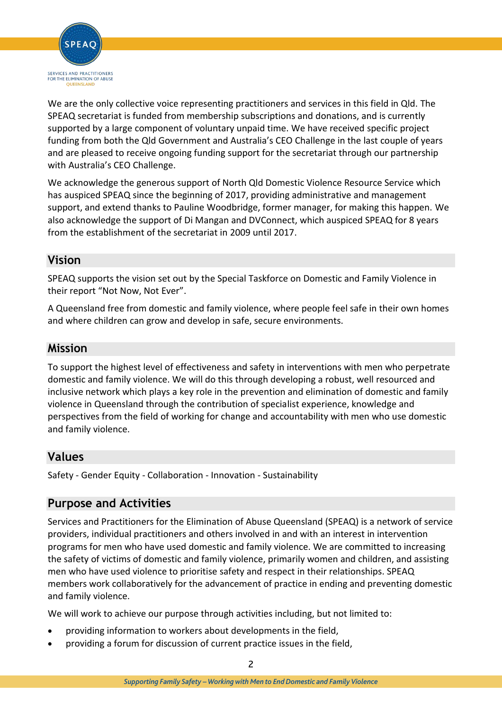

We are the only collective voice representing practitioners and services in this field in Qld. The SPEAQ secretariat is funded from membership subscriptions and donations, and is currently supported by a large component of voluntary unpaid time. We have received specific project funding from both the Qld Government and Australia's CEO Challenge in the last couple of years and are pleased to receive ongoing funding support for the secretariat through our partnership with Australia's CEO Challenge.

We acknowledge the generous support of North Qld Domestic Violence Resource Service which has auspiced SPEAQ since the beginning of 2017, providing administrative and management support, and extend thanks to Pauline Woodbridge, former manager, for making this happen. We also acknowledge the support of Di Mangan and DVConnect, which auspiced SPEAQ for 8 years from the establishment of the secretariat in 2009 until 2017.

## **Vision**

SPEAQ supports the vision set out by the Special Taskforce on Domestic and Family Violence in their report "Not Now, Not Ever".

A Queensland free from domestic and family violence, where people feel safe in their own homes and where children can grow and develop in safe, secure environments.

## **Mission**

To support the highest level of effectiveness and safety in interventions with men who perpetrate domestic and family violence. We will do this through developing a robust, well resourced and inclusive network which plays a key role in the prevention and elimination of domestic and family violence in Queensland through the contribution of specialist experience, knowledge and perspectives from the field of working for change and accountability with men who use domestic and family violence.

## **Values**

Safety - Gender Equity - Collaboration - Innovation - Sustainability

## **Purpose and Activities**

Services and Practitioners for the Elimination of Abuse Queensland (SPEAQ) is a network of service providers, individual practitioners and others involved in and with an interest in intervention programs for men who have used domestic and family violence. We are committed to increasing the safety of victims of domestic and family violence, primarily women and children, and assisting men who have used violence to prioritise safety and respect in their relationships. SPEAQ members work collaboratively for the advancement of practice in ending and preventing domestic and family violence.

We will work to achieve our purpose through activities including, but not limited to:

- providing information to workers about developments in the field,
- providing a forum for discussion of current practice issues in the field,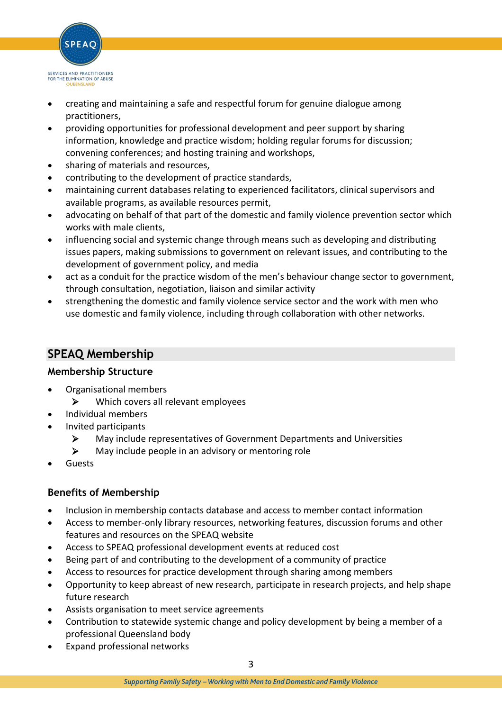

- creating and maintaining a safe and respectful forum for genuine dialogue among practitioners,
- providing opportunities for professional development and peer support by sharing information, knowledge and practice wisdom; holding regular forums for discussion; convening conferences; and hosting training and workshops,
- sharing of materials and resources,
- contributing to the development of practice standards,
- maintaining current databases relating to experienced facilitators, clinical supervisors and available programs, as available resources permit,
- advocating on behalf of that part of the domestic and family violence prevention sector which works with male clients,
- influencing social and systemic change through means such as developing and distributing issues papers, making submissions to government on relevant issues, and contributing to the development of government policy, and media
- act as a conduit for the practice wisdom of the men's behaviour change sector to government, through consultation, negotiation, liaison and similar activity
- strengthening the domestic and family violence service sector and the work with men who use domestic and family violence, including through collaboration with other networks.

## **SPEAQ Membership**

#### **Membership Structure**

- Organisational members
	- $\triangleright$  Which covers all relevant employees
- Individual members
- Invited participants
	- May include representatives of Government Departments and Universities
	- $\triangleright$  May include people in an advisory or mentoring role
- Guests

#### **Benefits of Membership**

- Inclusion in membership contacts database and access to member contact information
- Access to member-only library resources, networking features, discussion forums and other features and resources on the SPEAQ website
- Access to SPEAQ professional development events at reduced cost
- Being part of and contributing to the development of a community of practice
- Access to resources for practice development through sharing among members
- Opportunity to keep abreast of new research, participate in research projects, and help shape future research
- Assists organisation to meet service agreements
- Contribution to statewide systemic change and policy development by being a member of a professional Queensland body
- Expand professional networks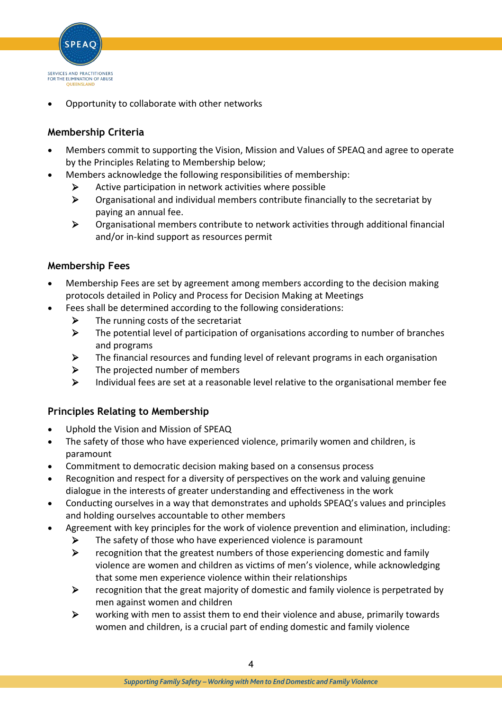

Opportunity to collaborate with other networks

#### **Membership Criteria**

- Members commit to supporting the Vision, Mission and Values of SPEAQ and agree to operate by the Principles Relating to Membership below;
- Members acknowledge the following responsibilities of membership:
	- $\triangleright$  Active participation in network activities where possible
	- $\triangleright$  Organisational and individual members contribute financially to the secretariat by paying an annual fee.
	- Organisational members contribute to network activities through additional financial and/or in-kind support as resources permit

#### **Membership Fees**

- Membership Fees are set by agreement among members according to the decision making protocols detailed in Policy and Process for Decision Making at Meetings
- Fees shall be determined according to the following considerations:
	- $\triangleright$  The running costs of the secretariat
	- $\triangleright$  The potential level of participation of organisations according to number of branches and programs
	- $\triangleright$  The financial resources and funding level of relevant programs in each organisation
	- $\triangleright$  The projected number of members
	- $\triangleright$  Individual fees are set at a reasonable level relative to the organisational member fee

#### **Principles Relating to Membership**

- Uphold the Vision and Mission of SPEAQ
- The safety of those who have experienced violence, primarily women and children, is paramount
- Commitment to democratic decision making based on a consensus process
- Recognition and respect for a diversity of perspectives on the work and valuing genuine dialogue in the interests of greater understanding and effectiveness in the work
- Conducting ourselves in a way that demonstrates and upholds SPEAQ's values and principles and holding ourselves accountable to other members
- Agreement with key principles for the work of violence prevention and elimination, including:
	- $\triangleright$  The safety of those who have experienced violence is paramount
	- $\triangleright$  recognition that the greatest numbers of those experiencing domestic and family violence are women and children as victims of men's violence, while acknowledging that some men experience violence within their relationships
	- $\triangleright$  recognition that the great majority of domestic and family violence is perpetrated by men against women and children
	- $\triangleright$  working with men to assist them to end their violence and abuse, primarily towards women and children, is a crucial part of ending domestic and family violence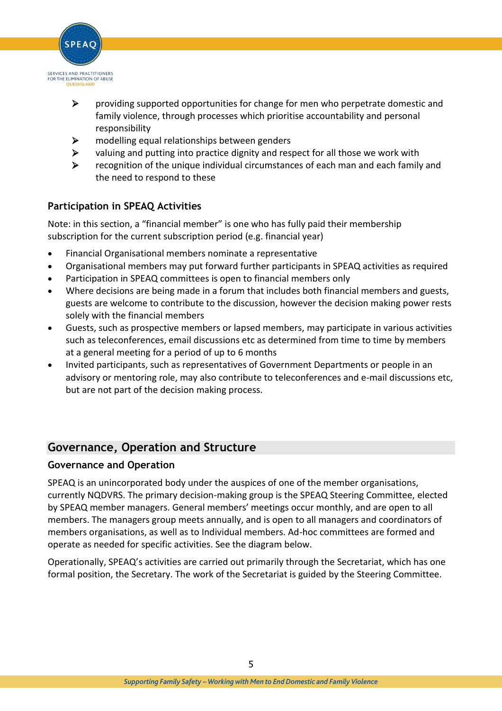

- $\triangleright$  providing supported opportunities for change for men who perpetrate domestic and family violence, through processes which prioritise accountability and personal responsibility
- $\triangleright$  modelling equal relationships between genders
- $\triangleright$  valuing and putting into practice dignity and respect for all those we work with
- $\triangleright$  recognition of the unique individual circumstances of each man and each family and the need to respond to these

#### **Participation in SPEAQ Activities**

Note: in this section, a "financial member" is one who has fully paid their membership subscription for the current subscription period (e.g. financial year)

- Financial Organisational members nominate a representative
- Organisational members may put forward further participants in SPEAQ activities as required
- Participation in SPEAQ committees is open to financial members only
- Where decisions are being made in a forum that includes both financial members and guests, guests are welcome to contribute to the discussion, however the decision making power rests solely with the financial members
- Guests, such as prospective members or lapsed members, may participate in various activities such as teleconferences, email discussions etc as determined from time to time by members at a general meeting for a period of up to 6 months
- Invited participants, such as representatives of Government Departments or people in an advisory or mentoring role, may also contribute to teleconferences and e-mail discussions etc, but are not part of the decision making process.

### **Governance, Operation and Structure**

#### **Governance and Operation**

SPEAQ is an unincorporated body under the auspices of one of the member organisations, currently NQDVRS. The primary decision-making group is the SPEAQ Steering Committee, elected by SPEAQ member managers. General members' meetings occur monthly, and are open to all members. The managers group meets annually, and is open to all managers and coordinators of members organisations, as well as to Individual members. Ad-hoc committees are formed and operate as needed for specific activities. See the diagram below.

Operationally, SPEAQ's activities are carried out primarily through the Secretariat, which has one formal position, the Secretary. The work of the Secretariat is guided by the Steering Committee.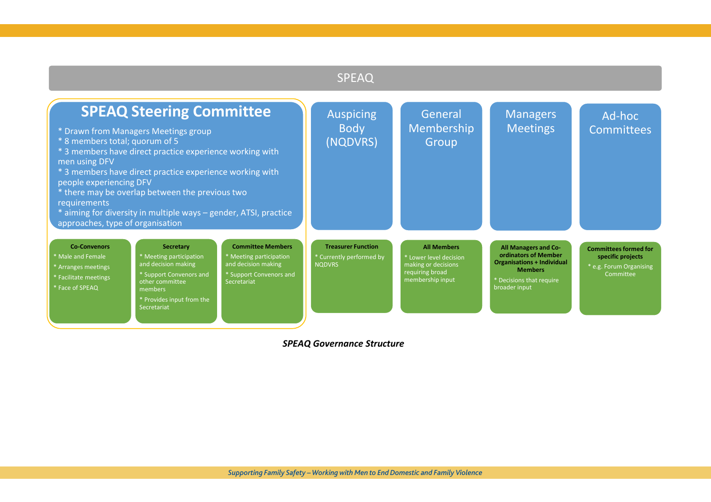# SPEAQ

| <b>SPEAQ Steering Committee</b><br>* Drawn from Managers Meetings group<br>* 8 members total; quorum of 5<br>* 3 members have direct practice experience working with<br>men using DFV<br>* 3 members have direct practice experience working with<br>people experiencing DFV<br>* there may be overlap between the previous two<br>requirements<br>* aiming for diversity in multiple ways - gender, ATSI, practice<br>approaches, type of organisation |                                                                                                                                                                         | <b>Auspicing</b><br><b>Body</b><br>(NQDVRS)                                                                                                | General<br>Membership<br>Group                                         | Managers<br><b>Meetings</b>                                                                                | Ad-hoc<br>Committees                                                                                                                             |                                                                                           |
|----------------------------------------------------------------------------------------------------------------------------------------------------------------------------------------------------------------------------------------------------------------------------------------------------------------------------------------------------------------------------------------------------------------------------------------------------------|-------------------------------------------------------------------------------------------------------------------------------------------------------------------------|--------------------------------------------------------------------------------------------------------------------------------------------|------------------------------------------------------------------------|------------------------------------------------------------------------------------------------------------|--------------------------------------------------------------------------------------------------------------------------------------------------|-------------------------------------------------------------------------------------------|
| <b>Co-Convenors</b><br><b>Male and Female</b><br>Arranges meetings<br><b>Facilitate meetings</b><br>* Face of SPEAQ                                                                                                                                                                                                                                                                                                                                      | <b>Secretary</b><br>* Meeting participation<br>and decision making<br>* Support Convenors and<br>other committee<br>members<br>* Provides input from the<br>Secretariat | <b>Committee Members</b><br><sup>*</sup> Meeting participation<br>and decision making<br><sup>*</sup> Support Convenors and<br>Secretariat | <b>Treasurer Function</b><br>* Currently performed by<br><b>NODVRS</b> | <b>All Members</b><br>* Lower level decision<br>making or decisions<br>requiring broad<br>membership input | All Managers and Co-<br>ordinators of Member<br><b>Organisations + Individual</b><br><b>Members</b><br>* Decisions that require<br>broader input | <b>Committees formed for</b><br>specific projects<br>* e.g. Forum Organising<br>Committee |

*SPEAQ Governance Structure*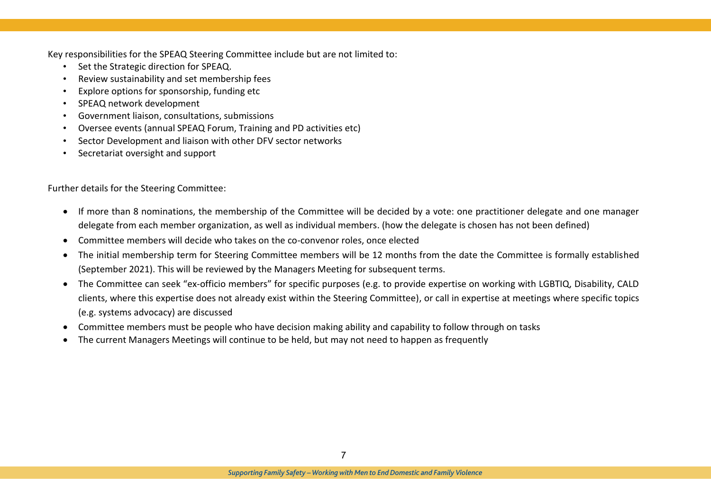Key responsibilities for the SPEAQ Steering Committee include but are not limited to:

- Set the Strategic direction for SPEAQ.
- Review sustainability and set membership fees
- Explore options for sponsorship, funding etc
- SPEAQ network development
- Government liaison, consultations, submissions
- Oversee events (annual SPEAQ Forum, Training and PD activities etc)
- Sector Development and liaison with other DFV sector networks
- Secretariat oversight and support

Further details for the Steering Committee:

- If more than 8 nominations, the membership of the Committee will be decided by a vote: one practitioner delegate and one manager delegate from each member organization, as well as individual members. (how the delegate is chosen has not been defined)
- Committee members will decide who takes on the co-convenor roles, once elected
- The initial membership term for Steering Committee members will be 12 months from the date the Committee is formally established (September 2021). This will be reviewed by the Managers Meeting for subsequent terms.
- The Committee can seek "ex-officio members" for specific purposes (e.g. to provide expertise on working with LGBTIQ, Disability, CALD clients, where this expertise does not already exist within the Steering Committee), or call in expertise at meetings where specific topics (e.g. systems advocacy) are discussed
- Committee members must be people who have decision making ability and capability to follow through on tasks
- The current Managers Meetings will continue to be held, but may not need to happen as frequently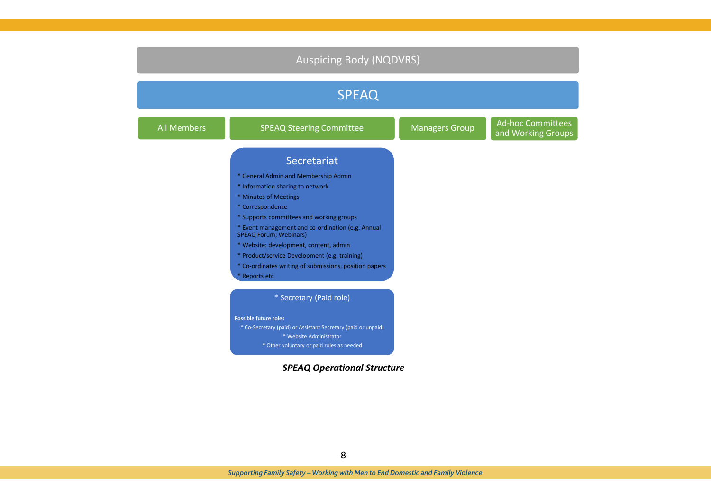| <b>Auspicing Body (NQDVRS)</b> |                                                                                    |                       |                                                |  |  |  |  |  |  |
|--------------------------------|------------------------------------------------------------------------------------|-----------------------|------------------------------------------------|--|--|--|--|--|--|
| <b>SPEAQ</b>                   |                                                                                    |                       |                                                |  |  |  |  |  |  |
| <b>All Members</b>             | <b>SPEAQ Steering Committee</b>                                                    | <b>Managers Group</b> | <b>Ad-hoc Committees</b><br>and Working Groups |  |  |  |  |  |  |
|                                | Secretariat                                                                        |                       |                                                |  |  |  |  |  |  |
|                                | * General Admin and Membership Admin                                               |                       |                                                |  |  |  |  |  |  |
|                                | * Information sharing to network                                                   |                       |                                                |  |  |  |  |  |  |
|                                | * Minutes of Meetings                                                              |                       |                                                |  |  |  |  |  |  |
|                                | * Correspondence                                                                   |                       |                                                |  |  |  |  |  |  |
|                                | * Supports committees and working groups                                           |                       |                                                |  |  |  |  |  |  |
|                                | * Event management and co-ordination (e.g. Annual<br><b>SPEAQ Forum; Webinars)</b> |                       |                                                |  |  |  |  |  |  |
|                                | * Website: development, content, admin                                             |                       |                                                |  |  |  |  |  |  |
|                                | * Product/service Development (e.g. training)                                      |                       |                                                |  |  |  |  |  |  |
|                                | * Co-ordinates writing of submissions, position papers                             |                       |                                                |  |  |  |  |  |  |
|                                | * Reports etc                                                                      |                       |                                                |  |  |  |  |  |  |
|                                | * Secretary (Paid role)                                                            |                       |                                                |  |  |  |  |  |  |
|                                | <b>Possible future roles</b>                                                       |                       |                                                |  |  |  |  |  |  |
|                                | * Co-Secretary (paid) or Assistant Secretary (paid or unpaid)                      |                       |                                                |  |  |  |  |  |  |
|                                | * Website Administrator                                                            |                       |                                                |  |  |  |  |  |  |
|                                | * Other voluntary or paid roles as needed                                          |                       |                                                |  |  |  |  |  |  |

#### *SPEAQ Operational Structure*